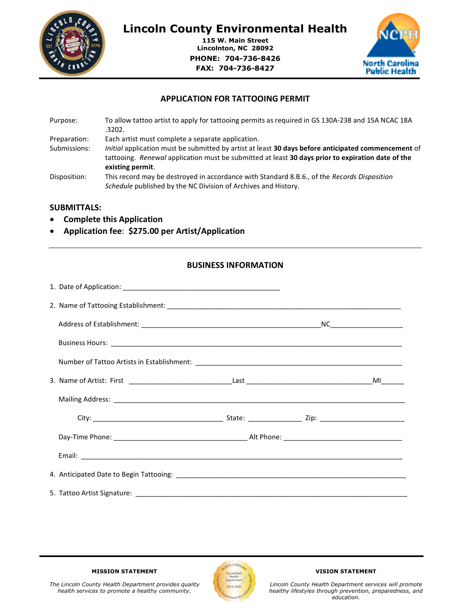

# Lincoln County Environmental Health

115 W. Main Street Lincolnton, NC 28092 PHONE: 704-736-8426 FAX: 704-736-8427



## APPLICATION FOR TATTOOING PERMIT

٦

Purpose: To allow tattoo artist to apply for tattooing permits as required in GS 130A-238 and 15A NCAC 18A .3202. Preparation: Each artist must complete a separate application. Submissions: *Initial* application must be submitted by artist at least 30 days before anticipated commencement of tattooing. Renewal application must be submitted at least 30 days prior to expiration date of the existing permit. Disposition: This record may be destroyed in accordance with Standard 8.B.6., of the Records Disposition Schedule published by the NC Division of Archives and History.

## SUBMITTALS:

- Complete this Application
- Application fee: \$275.00 per Artist/Application

### BUSINESS INFORMATION

#### MISSION STATEMENT



#### VISION STATEMENT

Lincoln County Health Department services will promote healthy lifestyles through prevention, preparedness, and education.